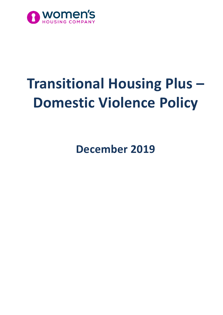

# **Transitional Housing Plus – Domestic Violence Policy**

**December 2019**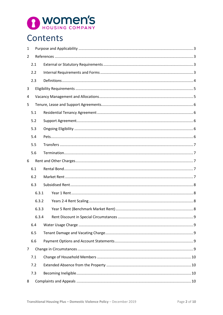# <sup>B</sup> WOMEN'S

# Contents

| $\mathbf{1}$ |       |  |  |  |  |
|--------------|-------|--|--|--|--|
| 2            |       |  |  |  |  |
|              | 2.1   |  |  |  |  |
|              | 2.2   |  |  |  |  |
|              | 2.3   |  |  |  |  |
| 3            |       |  |  |  |  |
| 4            |       |  |  |  |  |
| 5            |       |  |  |  |  |
|              | 5.1   |  |  |  |  |
|              | 5.2   |  |  |  |  |
|              | 5.3   |  |  |  |  |
|              | 5.4   |  |  |  |  |
|              | 5.5   |  |  |  |  |
|              | 5.6   |  |  |  |  |
| 6            |       |  |  |  |  |
|              | 6.1   |  |  |  |  |
|              | 6.2   |  |  |  |  |
|              | 6.3   |  |  |  |  |
|              | 6.3.1 |  |  |  |  |
|              | 6.3.2 |  |  |  |  |
|              | 6.3.3 |  |  |  |  |
|              | 6.3.4 |  |  |  |  |
|              | 6.4   |  |  |  |  |
|              | 6.5   |  |  |  |  |
|              | 6.6   |  |  |  |  |
| 7            |       |  |  |  |  |
|              | 7.1   |  |  |  |  |
|              | 7.2   |  |  |  |  |
|              | 7.3   |  |  |  |  |
| 8            |       |  |  |  |  |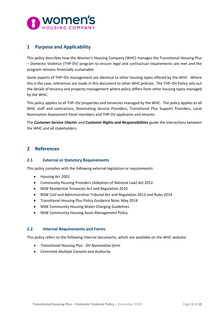

# <span id="page-2-0"></span>**1 Purpose and Applicability**

This policy describes how the Women's Housing Company (WHC) manages the Transitional Housing Plus – Domestic Violence (THP-DV) program to ensure legal and contractual requirements are met and the program remains financially sustainable.

Some aspects of THP–DV management are identical to other housing types offered by the WHC. Where this is the case, references are made in this document to other WHC policies. The THP–DV Policy sets out the details of tenancy and property management where policy differs from other housing types managed by the WHC.

This policy applies to all THP–DV properties and tenancies managed by the WHC. The policy applies to all WHC staff and contractors, Nominating Service Providers, Transitional Plus Support Providers, Local Nomination Assessment Panel members and THP-DV applicants and tenants.

The *Customer Service Charter and Customer Rights and Responsibilities* guide the interactions between the WHC and all stakeholders.

### <span id="page-2-1"></span>**2 References**

#### <span id="page-2-2"></span>**2.1 External or Statutory Requirements**

This policy complies with the following external legislation or requirements:

- Housing Act 2001
- Community Housing Providers (Adoption of National Law) Act 2012
- NSW Residential Tenancies Act and Regulation 2010
- NSW Civil and Administrative Tribunal Act and Regulation 2013 and Rules 2014
- Transitional Housing Plus Policy Guidance Note, May 2014
- NSW Community Housing Water Charging Guidelines
- NSW Community Housing Asset Management Policy

#### <span id="page-2-3"></span>**2.2 Internal Requirements and Forms**

This policy refers to the following internal documents, which are available on the WHC website:

- *Transitional Housing Plus - DV Nomination form*
- *Centrelink Multiple Consent and Authority*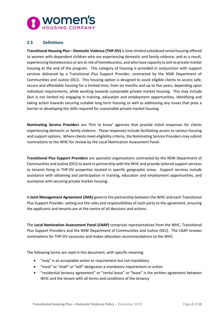

#### <span id="page-3-0"></span>**2.3 Definitions**

**Transitional Housing Plus – Domestic Violence (THP-DV)** is time-limited subsidised rental housing offered to women with dependent children who are experiencing domestic and family violence, and as a result, experiencing homelessness or are at risk of homelessness, and who have capacity to exit to private market housing at the end of the program. This category of housing is provided in conjunction with support services delivered by a Transitional Plus Support Provider, contracted by the NSW Department of Communities and Justice (DCJ). This housing option is designed to assist eligible clients to access safe, secure and affordable housing for a limited time, from six months and up to five years, depending upon individual requirements, while working towards sustainable private market housing. This may include (but is not limited to) engaging in training, education and employment opportunities, identifying and taking action towards securing suitable long term housing as well as addressing any issues that pose a barrier or developing the skills required for sustainable private market housing.

**Nominating Service Providers** are 'first to know' agencies that provide initial responses for clients experiencing domestic or family violence. These responses include facilitating access to various housing and support options. Where clients meet eligibility criteria, the Nominating Service Providers may submit nominations to the WHC for review by the Local Nomination Assessment Panel.

**Transitional Plus Support Providers** are specialist organisations contracted by the NSW Department of Communities and Justice (DCJ) to work in partnership with the WHC and provide tailored support services to tenants living in THP-DV properties located in specific geographic areas. Support services include assistance with obtaining and participation in training, education and employment opportunities, and assistance with securing private market housing.

A **Joint Management Agreement (JMA)** governs the partnership between the WHC and each Transitional Plus Support Provider, setting out the roles and responsibilities of each party to the agreement, ensuring the applicants and tenants are at the centre of all decisions and actions.

The **Local Nomination Assessment Panel (LNAP)** comprises representatives from the WHC, Transitional Plus Support Providers and the NSW Department of Communities and Justice (DCJ). The LNAP reviews nominations for THP-DV vacancies and makes allocation recommendations to the WHC.

The following terms are used in this document, with specific meaning:

- "may" is an acceptable action or requirement but not mandatory
- "must" or "shall" or "will" designates a mandatory requirement or action
- "residential tenancy agreement" or "rental lease" or "lease" is the written agreement between WHC and the tenant with all terms and conditions of the tenancy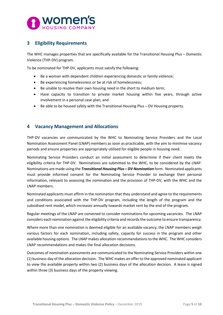

# <span id="page-4-0"></span>**3 Eligibility Requirements**

The WHC manages properties that are specifically available for the Transitional Housing Plus – Domestic Violence (THP-DV) program.

To be nominated for THP-DV, applicants must satisfy the following:

- Be a woman with dependent children experiencing domestic or family violence;
- Be experiencing homelessness or be at risk of homelessness;
- Be unable to resolve their own housing need in the short to medium term;
- Have capacity to transition to private market housing within five years, through active involvement in a personal case plan; and
- Be able to be housed safely with the Transitional Housing Plus DV Housing property.

### <span id="page-4-1"></span>**4 Vacancy Management and Allocations**

THP-DV vacancies are communicated by the WHC to Nominating Service Providers and the Local Nomination Assessment Panel (LNAP) members as soon as practicable, with the aim to minimise vacancy periods and ensure properties are appropriately utilised for eligible people in housing need.

Nominating Service Providers conduct an initial assessment to determine if their client meets the eligibility criteria for THP-DV. Nominations are submitted to the WHC, to be considered by the LNAP. Nominations are made using the *Transitional Housing Plus – DV Nomination* form. Nominated applicants must provide informed consent for the Nominating Service Provider to exchange their personal information, relevant to assessing the nomination and the provision of THP-DV, with the WHC and the LNAP members.

Nominated applicants must affirm in the nomination that they understand and agree to the requirements and conditions associated with the THP-DV program, including the length of the program and the subsidised rent model, which increases annually towards market rent by the end of the program.

Regular meetings of the LNAP are convened to consider nominations for upcoming vacancies. The LNAP considers each nomination against the eligibility criteria and records the outcome to ensure transparency.

Where more than one nomination is deemed eligible for an available vacancy, the LNAP members weigh various factors for each nomination, including safety, capacity for success in the program and other available housing options. The LNAP makes allocation recommendations to the WHC. The WHC considers LNAP recommendations and makes the final allocation decisions.

Outcomes of nomination assessments are communicated to the Nominating Service Providers within one (1) business day of the allocation decision. The WHC makes an offer to the approved nominated applicant to view the available property within two (2) business days of the allocation decision. A lease is signed within three (3) business days of the property viewing.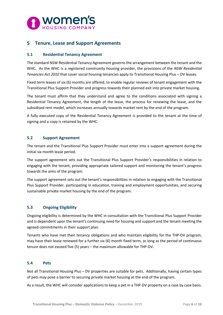

# <span id="page-5-0"></span>**5 Tenure, Lease and Support Agreements**

#### <span id="page-5-1"></span>**5.1 Residential Tenancy Agreement**

The standard NSW Residential Tenancy Agreement governs the arrangement between the tenant and the WHC. As the WHC is a registered community housing provider, the provisions of the *NSW Residential Tenancies Act 2010* that cover social housing tenancies apply to Transitional Housing Plus – DV leases.

Fixed term leases of six (6) months are offered, to enable regular reviews of tenant engagement with the Transitional Plus Support Provider and progress towards their planned exit into private market housing.

The tenant must affirm that they understand and agree to the conditions associated with signing a Residential Tenancy Agreement, the length of the lease, the process for renewing the lease, and the subsidised rent model, which increases annually towards market rent by the end of the program.

A fully executed copy of the Residential Tenancy Agreement is provided to the tenant at the time of signing and a copy is retained by the WHC.

#### <span id="page-5-2"></span>**5.2 Support Agreement**

The tenant and the Transitional Plus Support Provider must enter into a support agreement during the initial six month lease period.

The support agreement sets out the Transitional Plus Support Provider's responsibilities in relation to engaging with the tenant, providing appropriate tailored support and monitoring the tenant's progress towards the aims of the program.

The support agreement sets out the tenant's responsibilities in relation to engaging with the Transitional Plus Support Provider, participating in education, training and employment opportunities, and securing sustainable private market housing by the end of the program.

#### <span id="page-5-3"></span>**5.3 Ongoing Eligibility**

Ongoing eligibility is determined by the WHC in consultation with the Transitional Plus Support Provider and is dependent upon the tenant's continuing need for housing and support and the tenant meeting the agreed commitments in their support plan.

Tenants who have met their tenancy obligations and who maintain eligibility for the THP-DV program, may have their lease renewed for a further six (6) month fixed term, as long as the period of continuous tenure does not exceed five (5) years – the maximum allowable for THP-DV.

#### <span id="page-5-4"></span>**5.4 Pets**

Not all Transitional Housing Plus – DV properties are suitable for pets. Additionally, having certain types of pets may pose a barrier to securing private market housing at the end of the program.

As a result, the WHC will consider applications to keep a pet in a THP-DV property on a case by case basis.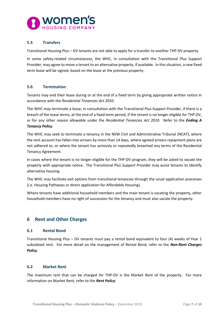

#### <span id="page-6-0"></span>**5.5 Transfers**

Transitional Housing Plus – DV tenants are not able to apply for a transfer to another THP-DV property.

In some safety-related circumstances, the WHC, in consultation with the Transitional Plus Support Provider, may agree to move a tenant to an alternative property, if available. In this situation, a new fixed term lease will be signed, based on the lease at the previous property.

#### <span id="page-6-1"></span>**5.6 Termination**

Tenants may end their lease during or at the end of a fixed term by giving appropriate written notice in accordance with the *Residential Tenancies Act 2010*.

The WHC may terminate a lease, in consultation with the Transitional Plus Support Provider, if there is a breach of the lease terms, at the end of a fixed term period, if the tenant is no longer eligible for THP-DV, or for any other reason allowable under the *Residential Tenancies Act 2010*. Refer to the *Ending A Tenancy Policy*.

The WHC may seek to terminate a tenancy in the NSW Civil and Administrative Tribunal (NCAT), where the rent account has fallen into arrears by more than 14 days, where agreed arrears repayment plans are not adhered to, or where the tenant has seriously or repeatedly breached any terms of the Residential Tenancy Agreement.

In cases where the tenant is no longer eligible for the THP-DV program, they will be asked to vacate the property with appropriate notice. The Transitional Plus Support Provider may assist tenants to identify alternative housing.

The WHC may facilitate exit options from transitional tenancies through the usual application processes (i.e. Housing Pathways or direct application for Affordable Housing).

Where tenants have additional household members and the main tenant is vacating the property, other household members have no right of succession for the tenancy and must also vacate the property.

# <span id="page-6-2"></span>**6 Rent and Other Charges**

#### <span id="page-6-3"></span>**6.1 Rental Bond**

Transitional Housing Plus – DV tenants must pay a rental bond equivalent to four (4) weeks of Year 1 subsidised rent. For more detail on the management of Rental Bond, refer to the *Non-Rent Charges Policy*.

#### <span id="page-6-4"></span>**6.2 Market Rent**

The maximum rent that can be charged for THP-DV is the Market Rent of the property. For more information on Market Rent, refer to the *Rent Policy*.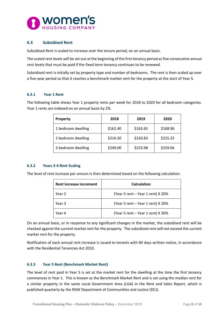

#### <span id="page-7-0"></span>**6.3 Subsidised Rent**

Subsidised Rent is scaled to increase over the tenure period, on an annual basis.

The scaled rent levels will be set out at the beginning of the first tenancy period as five consecutive annual rent levels that must be paid if the fixed term tenancy continues to be renewed.

Subsidised rent is initially set by property type and number of bedrooms. The rent is then scaled up over a five-year period so that it reaches a benchmark market rent for the property at the start of Year 5.

#### <span id="page-7-1"></span>**6.3.1 Year 1 Rent**

The following table shows Year 1 property rents per week for 2018 to 2020 for all bedroom categories. Year 1 rents are indexed on an annual basis by 2%.

| <b>Property</b>    | 2018     | 2019     | 2020     |
|--------------------|----------|----------|----------|
| 1 bedroom dwelling | \$162.40 | \$165.65 | \$168.96 |
| 2 bedroom dwelling | \$216.50 | \$220.83 | \$225.25 |
| 3 bedroom dwelling | \$249.00 | \$253.98 | \$259.06 |

#### <span id="page-7-2"></span>**6.3.2 Years 2-4 Rent Scaling**

The level of rent increase per annum is then determined based on the following calculation:

| Rent increase increment | <b>Calculation</b>                |  |
|-------------------------|-----------------------------------|--|
| Year 2                  | (Year 5 rent - Year 1 rent) X 20% |  |
| Year 3                  | (Year 5 rent - Year 1 rent) X 20% |  |
| Year 4                  | (Year 5 rent - Year 1 rent) X 30% |  |

On an annual basis, or in response to any significant changes in the market, the subsidised rent will be checked against the current market rent for the property. The subsidised rent will not exceed the current market rent for the property.

Notification of each annual rent increase is issued to tenants with 60 days written notice, in accordance with the Residential Tenancies Act 2010.

#### <span id="page-7-3"></span>**6.3.3 Year 5 Rent (Benchmark Market Rent)**

The level of rent paid in Year 5 is set at the market rent for the dwelling at the time the first tenancy commences in Year 1. This is known as the Benchmark Market Rent and is set using the median rent for a similar property in the same Local Government Area (LGA) in the Rent and Sales Report, which is published quarterly by the NSW Department of Communities and Justice (DCJ).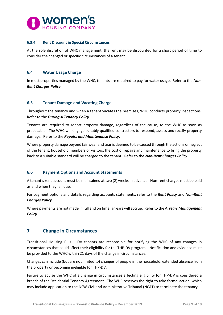

#### <span id="page-8-0"></span>**6.3.4 Rent Discount in Special Circumstances**

At the sole discretion of WHC management, the rent may be discounted for a short period of time to consider the changed or specific circumstances of a tenant.

#### <span id="page-8-1"></span>**6.4 Water Usage Charge**

In most properties managed by the WHC, tenants are required to pay for water usage. Refer to the *Non-Rent Charges Policy*.

#### <span id="page-8-2"></span>**6.5 Tenant Damage and Vacating Charge**

Throughout the tenancy and when a tenant vacates the premises, WHC conducts property inspections. Refer to the *During A Tenancy Policy*.

Tenants are required to report property damage, regardless of the cause, to the WHC as soon as practicable. The WHC will engage suitably qualified contractors to respond, assess and rectify property damage. Refer to the *Repairs and Maintenance Policy*.

Where property damage beyond fair wear and tear is deemed to be caused through the actions or neglect of the tenant, household members or visitors, the cost of repairs and maintenance to bring the property back to a suitable standard will be charged to the tenant. Refer to the *Non-Rent Charges Policy*.

#### <span id="page-8-3"></span>**6.6 Payment Options and Account Statements**

A tenant's rent account must be maintained at two (2) weeks in advance. Non-rent charges must be paid as and when they fall due.

For payment options and details regarding accounts statements, refer to the *Rent Policy* and *Non-Rent Charges Policy*.

Where payments are not made in full and on time, arrears will accrue. Refer to the *Arrears Management Policy*.

# <span id="page-8-4"></span>**7 Change in Circumstances**

Transitional Housing Plus – DV tenants are responsible for notifying the WHC of any changes in circumstances that could affect their eligibility for the THP-DV program. Notification and evidence must be provided to the WHC within 21 days of the change in circumstances.

Changes can include (but are not limited to) changes of people in the household, extended absence from the property or becoming ineligible for THP-DV.

Failure to advise the WHC of a change in circumstances affecting eligibility for THP-DV is considered a breach of the Residential Tenancy Agreement. The WHC reserves the right to take formal action, which may include application to the NSW Civil and Administrative Tribunal (NCAT) to terminate the tenancy.